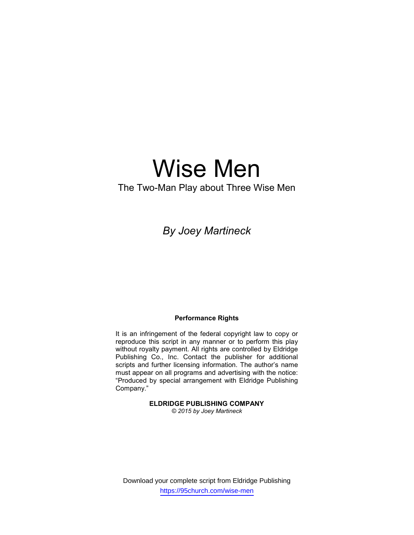# Wise Men

# The Two-Man Play about Three Wise Men

# By Joey Martineck

#### Performance Rights

It is an infringement of the federal copyright law to copy or reproduce this script in any manner or to perform this play without royalty payment. All rights are controlled by Eldridge Publishing Co., Inc. Contact the publisher for additional scripts and further licensing information. The author's name must appear on all programs and advertising with the notice: "Produced by special arrangement with Eldridge Publishing Company."

## ELDRIDGE PUBLISHING COMPANY

© 2015 by Joey Martineck

Download your complete script from Eldridge Publishing https://95church.com/wise-men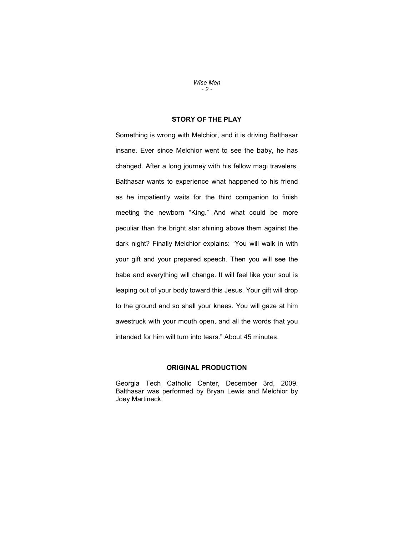#### Wise Men  $-2-$

# STORY OF THE PLAY

Something is wrong with Melchior, and it is driving Balthasar insane. Ever since Melchior went to see the baby, he has changed. After a long journey with his fellow magi travelers, Balthasar wants to experience what happened to his friend as he impatiently waits for the third companion to finish meeting the newborn "King." And what could be more peculiar than the bright star shining above them against the dark night? Finally Melchior explains: "You will walk in with your gift and your prepared speech. Then you will see the babe and everything will change. It will feel like your soul is leaping out of your body toward this Jesus. Your gift will drop to the ground and so shall your knees. You will gaze at him awestruck with your mouth open, and all the words that you intended for him will turn into tears." About 45 minutes.

# ORIGINAL PRODUCTION

Georgia Tech Catholic Center, December 3rd, 2009. Balthasar was performed by Bryan Lewis and Melchior by Joey Martineck.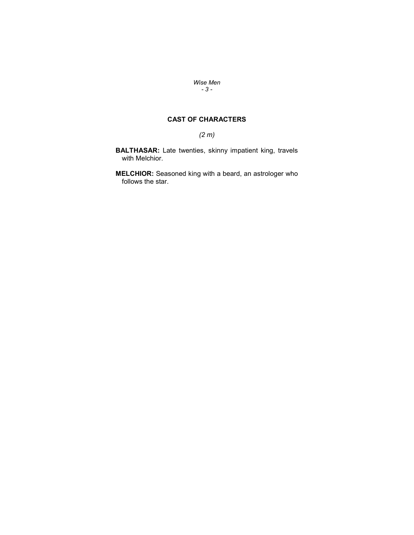### Wise Men - 3 -

# CAST OF CHARACTERS

# (2 m)

BALTHASAR: Late twenties, skinny impatient king, travels with Melchior.

**MELCHIOR:** Seasoned king with a beard, an astrologer who follows the star.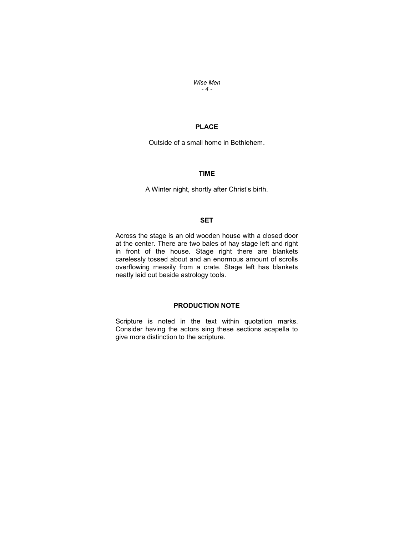Wise Men  $-4-$ 

# PLACE

Outside of a small home in Bethlehem.

# TIME

A Winter night, shortly after Christ's birth.

# **SET**

Across the stage is an old wooden house with a closed door at the center. There are two bales of hay stage left and right in front of the house. Stage right there are blankets carelessly tossed about and an enormous amount of scrolls overflowing messily from a crate. Stage left has blankets neatly laid out beside astrology tools.

# PRODUCTION NOTE

Scripture is noted in the text within quotation marks. Consider having the actors sing these sections acapella to give more distinction to the scripture.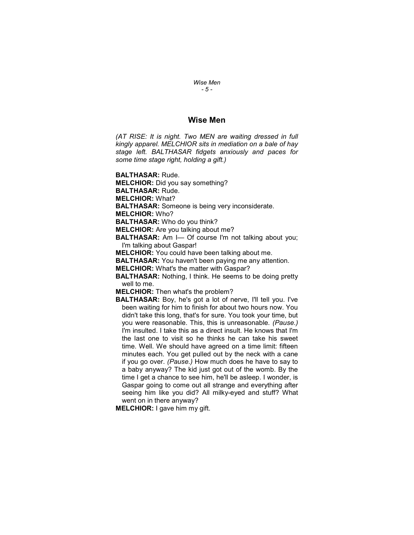#### Wise Men - 5 -

# Wise Men

(AT RISE: It is night. Two MEN are waiting dressed in full kingly apparel. MELCHIOR sits in mediation on a bale of hay stage left. BALTHASAR fidgets anxiously and paces for some time stage right, holding a gift.)

BALTHASAR: Rude.

MELCHIOR: Did you say something?

BALTHASAR: Rude.

MELCHIOR: What?

BALTHASAR: Someone is being very inconsiderate.

MELCHIOR: Who?

BALTHASAR: Who do you think?

MELCHIOR: Are you talking about me?

BALTHASAR: Am I— Of course I'm not talking about you; I'm talking about Gaspar!

MELCHIOR: You could have been talking about me.

BALTHASAR: You haven't been paying me any attention.

MELCHIOR: What's the matter with Gaspar?

BALTHASAR: Nothing, I think. He seems to be doing pretty well to me.

MELCHIOR: Then what's the problem?

**BALTHASAR:** Boy, he's got a lot of nerve, I'll tell you. I've been waiting for him to finish for about two hours now. You didn't take this long, that's for sure. You took your time, but you were reasonable. This, this is unreasonable. (Pause.) I'm insulted. I take this as a direct insult. He knows that I'm the last one to visit so he thinks he can take his sweet time. Well. We should have agreed on a time limit: fifteen minutes each. You get pulled out by the neck with a cane if you go over. (Pause.) How much does he have to say to a baby anyway? The kid just got out of the womb. By the time I get a chance to see him, he'll be asleep. I wonder, is Gaspar going to come out all strange and everything after seeing him like you did? All milky-eyed and stuff? What went on in there anyway?

MELCHIOR: I gave him my gift.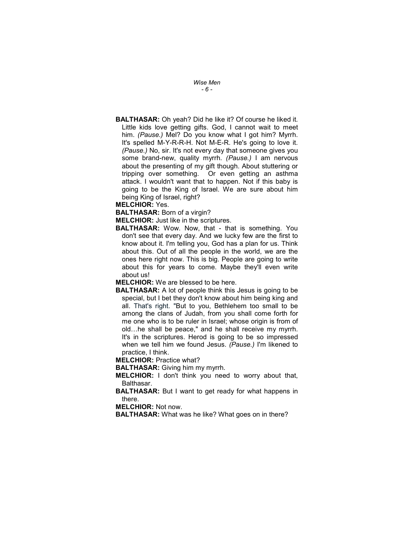Wise Men - 6 -

BALTHASAR: Oh yeah? Did he like it? Of course he liked it. Little kids love getting gifts. God, I cannot wait to meet him. (Pause.) Mel? Do you know what I got him? Myrrh. It's spelled M-Y-R-R-H. Not M-E-R. He's going to love it. (Pause.) No, sir. It's not every day that someone gives you some brand-new, quality myrrh. (Pause.) I am nervous about the presenting of my gift though. About stuttering or tripping over something. Or even getting an asthma attack. I wouldn't want that to happen. Not if this baby is going to be the King of Israel. We are sure about him being King of Israel, right?

MELCHIOR: Yes.

BALTHASAR: Born of a virgin?

MELCHIOR: Just like in the scriptures.

**BALTHASAR:** Wow. Now, that - that is something. You don't see that every day. And we lucky few are the first to know about it. I'm telling you, God has a plan for us. Think about this. Out of all the people in the world, we are the ones here right now. This is big. People are going to write about this for years to come. Maybe they'll even write about us!

MELCHIOR: We are blessed to be here.

**BALTHASAR:** A lot of people think this Jesus is going to be special, but I bet they don't know about him being king and all. That's right. "But to you, Bethlehem too small to be among the clans of Judah, from you shall come forth for me one who is to be ruler in Israel; whose origin is from of old…he shall be peace," and he shall receive my myrrh. It's in the scriptures. Herod is going to be so impressed when we tell him we found Jesus. (Pause.) I'm likened to practice, I think.

MELCHIOR: Practice what?

BALTHASAR: Giving him my myrrh.

- MELCHIOR: I don't think you need to worry about that, Balthasar.
- **BALTHASAR:** But I want to get ready for what happens in there.

MELCHIOR: Not now.

BALTHASAR: What was he like? What goes on in there?